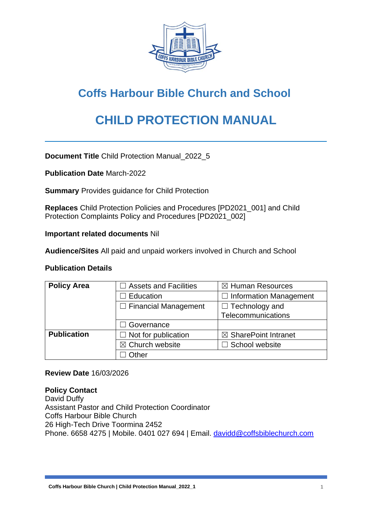

# **Coffs Harbour Bible Church and School**

# **CHILD PROTECTION MANUAL**

**Document Title** Child Protection Manual\_2022\_5

**Publication Date** March-2022

**Summary** Provides guidance for Child Protection

**Replaces** Child Protection Policies and Procedures [PD2021\_001] and Child Protection Complaints Policy and Procedures [PD2021\_002]

**Important related documents** Nil

**Audience/Sites** All paid and unpaid workers involved in Church and School

#### **Publication Details**

| <b>Policy Area</b> | <b>Assets and Facilities</b>                         | $\boxtimes$ Human Resources     |
|--------------------|------------------------------------------------------|---------------------------------|
|                    | <b>Education</b>                                     | $\Box$ Information Management   |
|                    | $\Box$ Financial Management<br>$\Box$ Technology and |                                 |
|                    |                                                      | Telecommunications              |
|                    | Governance                                           |                                 |
| <b>Publication</b> | $\Box$ Not for publication                           | $\boxtimes$ SharePoint Intranet |
|                    | $\boxtimes$ Church website                           | $\Box$ School website           |
|                    | Other                                                |                                 |

#### **Review Date** 16/03/2026

#### **Policy Contact**

David Duffy Assistant Pastor and Child Protection Coordinator Coffs Harbour Bible Church 26 High-Tech Drive Toormina 2452 Phone. 6658 4275 | Mobile. 0401 027 694 | Email. [davidd@coffsbiblechurch.com](mailto:davidd@coffsbiblechurch.com)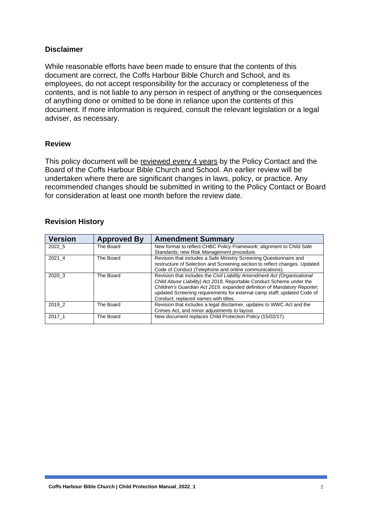### **Disclaimer**

While reasonable efforts have been made to ensure that the contents of this document are correct, the Coffs Harbour Bible Church and School, and its employees, do not accept responsibility for the accuracy or completeness of the contents, and is not liable to any person in respect of anything or the consequences of anything done or omitted to be done in reliance upon the contents of this document. If more information is required, consult the relevant legislation or a legal adviser, as necessary.

#### **Review**

This policy document will be reviewed every 4 years by the Policy Contact and the Board of the Coffs Harbour Bible Church and School. An earlier review will be undertaken where there are significant changes in laws, policy, or practice. Any recommended changes should be submitted in writing to the Policy Contact or Board for consideration at least one month before the review date.

### **Revision History**

| <b>Version</b> | <b>Approved By</b> | <b>Amendment Summary</b>                                                                                                                                                                                                                                                                                                                        |
|----------------|--------------------|-------------------------------------------------------------------------------------------------------------------------------------------------------------------------------------------------------------------------------------------------------------------------------------------------------------------------------------------------|
| 2022 5         | The Board          | New format to reflect CHBC Policy Framework; alignment to Child Safe<br>Standards; new Risk Management procedure.                                                                                                                                                                                                                               |
| 2021 4         | The Board          | Revision that includes a Safe Ministry Screening Questionnaire and<br>restructure of Selection and Screening section to reflect changes. Updated<br>Code of Conduct (Telephone and online communications).                                                                                                                                      |
| 2020 3         | The Board          | Revision that includes the Civil Liability Amendment Act (Organisational<br>Child Abuse Liability) Act 2018, Reportable Conduct Scheme under the<br>Children's Guardian Act 2019, expanded definition of Mandatory Reporter;<br>updated Screening requirements for external camp staff; updated Code of<br>Conduct; replaced names with titles. |
| 2019 2         | The Board          | Revision that includes a legal disclaimer, updates to WWC Act and the<br>Crimes Act, and minor adjustments to layout.                                                                                                                                                                                                                           |
| 2017 1         | The Board          | New document replaces Child Protection Policy (15/02/17).                                                                                                                                                                                                                                                                                       |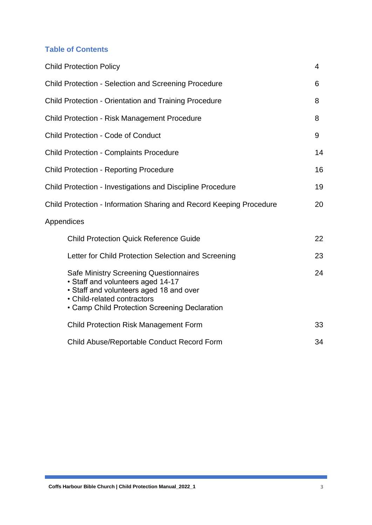### **Table of Contents**

|            | <b>Child Protection Policy</b>                                                                                                                                                                                | 4  |
|------------|---------------------------------------------------------------------------------------------------------------------------------------------------------------------------------------------------------------|----|
|            | <b>Child Protection - Selection and Screening Procedure</b>                                                                                                                                                   | 6  |
|            | <b>Child Protection - Orientation and Training Procedure</b>                                                                                                                                                  | 8  |
|            | <b>Child Protection - Risk Management Procedure</b>                                                                                                                                                           | 8  |
|            | <b>Child Protection - Code of Conduct</b>                                                                                                                                                                     | 9  |
|            | <b>Child Protection - Complaints Procedure</b>                                                                                                                                                                | 14 |
|            | <b>Child Protection - Reporting Procedure</b>                                                                                                                                                                 | 16 |
|            | <b>Child Protection - Investigations and Discipline Procedure</b>                                                                                                                                             | 19 |
|            | Child Protection - Information Sharing and Record Keeping Procedure                                                                                                                                           | 20 |
| Appendices |                                                                                                                                                                                                               |    |
|            | <b>Child Protection Quick Reference Guide</b>                                                                                                                                                                 | 22 |
|            | Letter for Child Protection Selection and Screening                                                                                                                                                           | 23 |
|            | <b>Safe Ministry Screening Questionnaires</b><br>• Staff and volunteers aged 14-17<br>• Staff and volunteers aged 18 and over<br>• Child-related contractors<br>• Camp Child Protection Screening Declaration | 24 |
|            | <b>Child Protection Risk Management Form</b>                                                                                                                                                                  | 33 |
|            | Child Abuse/Reportable Conduct Record Form                                                                                                                                                                    | 34 |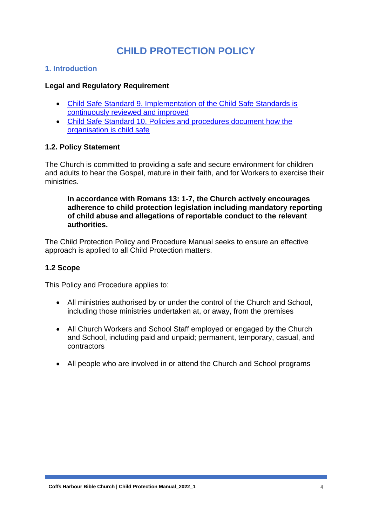## **CHILD PROTECTION POLICY**

### **1. Introduction**

#### **Legal and Regulatory Requirement**

- [Child Safe Standard 9. Implementation of the Child Safe Standards is](https://www.ocg.nsw.gov.au/child-safe-organisations/training-and-resources/child-safe-standards#acc8)  [continuously reviewed and improved](https://www.ocg.nsw.gov.au/child-safe-organisations/training-and-resources/child-safe-standards#acc8)
- [Child Safe Standard 10. Policies and procedures document how the](https://www.ocg.nsw.gov.au/child-safe-organisations/training-and-resources/child-safe-standards#acc9)  [organisation is child safe](https://www.ocg.nsw.gov.au/child-safe-organisations/training-and-resources/child-safe-standards#acc9)

### **1.2. Policy Statement**

The Church is committed to providing a safe and secure environment for children and adults to hear the Gospel, mature in their faith, and for Workers to exercise their ministries.

#### **In accordance with Romans 13: 1-7, the Church actively encourages adherence to child protection legislation including mandatory reporting of child abuse and allegations of reportable conduct to the relevant authorities.**

The Child Protection Policy and Procedure Manual seeks to ensure an effective approach is applied to all Child Protection matters.

#### **1.2 Scope**

This Policy and Procedure applies to:

- All ministries authorised by or under the control of the Church and School, including those ministries undertaken at, or away, from the premises
- All Church Workers and School Staff employed or engaged by the Church and School, including paid and unpaid; permanent, temporary, casual, and contractors
- All people who are involved in or attend the Church and School programs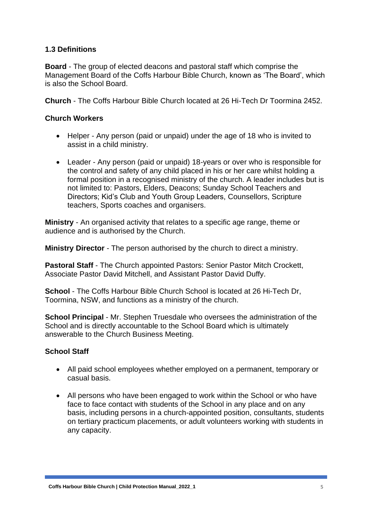### **1.3 Definitions**

**Board** - The group of elected deacons and pastoral staff which comprise the Management Board of the Coffs Harbour Bible Church, known as 'The Board', which is also the School Board.

**Church** - The Coffs Harbour Bible Church located at 26 Hi-Tech Dr Toormina 2452.

### **Church Workers**

- Helper Any person (paid or unpaid) under the age of 18 who is invited to assist in a child ministry.
- Leader Any person (paid or unpaid) 18-years or over who is responsible for the control and safety of any child placed in his or her care whilst holding a formal position in a recognised ministry of the church. A leader includes but is not limited to: Pastors, Elders, Deacons; Sunday School Teachers and Directors; Kid's Club and Youth Group Leaders, Counsellors, Scripture teachers, Sports coaches and organisers.

**Ministry** - An organised activity that relates to a specific age range, theme or audience and is authorised by the Church.

**Ministry Director** - The person authorised by the church to direct a ministry.

**Pastoral Staff** - The Church appointed Pastors: Senior Pastor Mitch Crockett, Associate Pastor David Mitchell, and Assistant Pastor David Duffy.

**School** - The Coffs Harbour Bible Church School is located at 26 Hi-Tech Dr, Toormina, NSW, and functions as a ministry of the church.

**School Principal** - Mr. Stephen Truesdale who oversees the administration of the School and is directly accountable to the School Board which is ultimately answerable to the Church Business Meeting.

### **School Staff**

- All paid school employees whether employed on a permanent, temporary or casual basis.
- All persons who have been engaged to work within the School or who have face to face contact with students of the School in any place and on any basis, including persons in a church-appointed position, consultants, students on tertiary practicum placements, or adult volunteers working with students in any capacity.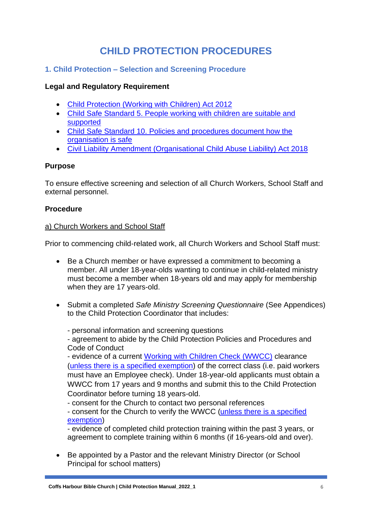## **CHILD PROTECTION PROCEDURES**

### **1. Child Protection – Selection and Screening Procedure**

### **Legal and Regulatory Requirement**

- [Child Protection \(Working with Children\) Act 2012](https://www.legislation.nsw.gov.au/view/html/inforce/current/act-2012-051)
- [Child Safe Standard 5. People working with children are suitable and](https://www.ocg.nsw.gov.au/child-safe-organisations/training-and-resources/child-safe-standards#acc4)  [supported](https://www.ocg.nsw.gov.au/child-safe-organisations/training-and-resources/child-safe-standards#acc4)
- Child Safe Standard [10. Policies and procedures document how the](https://www.ocg.nsw.gov.au/child-safe-organisations/training-and-resources/child-safe-standards#acc9)  [organisation is safe](https://www.ocg.nsw.gov.au/child-safe-organisations/training-and-resources/child-safe-standards#acc9)
- [Civil Liability Amendment \(Organisational Child Abuse Liability\) Act 2018](https://legislation.nsw.gov.au/view/pdf/asmade/act-2018-56)

### **Purpose**

To ensure effective screening and selection of all Church Workers, School Staff and external personnel.

### **Procedure**

#### a) Church Workers and School Staff

Prior to commencing child-related work, all Church Workers and School Staff must:

- Be a Church member or have expressed a commitment to becoming a member. All under 18-year-olds wanting to continue in child-related ministry must become a member when 18-years old and may apply for membership when they are 17 years-old.
- Submit a completed *Safe Ministry Screening Questionnaire* (See Appendices) to the Child Protection Coordinator that includes:

- personal information and screening questions

- agreement to abide by the Child Protection Policies and Procedures and Code of Conduct

- evidence of a current [Working with Children Check \(WWCC\)](https://www.ocg.nsw.gov.au/child-safe-organisations/working-with-children-check) clearance [\(unless there is a specified exemption\)](https://www.ocg.nsw.gov.au/child-safe-organisations/working-with-children-check/employer/who-needs-a-working-with-children-check) of the correct class (i.e. paid workers must have an Employee check). Under 18-year-old applicants must obtain a WWCC from 17 years and 9 months and submit this to the Child Protection Coordinator before turning 18 years-old.

- consent for the Church to contact two personal references

- consent for the Church to verify the WWCC [\(unless there is a specified](https://www.ocg.nsw.gov.au/child-safe-organisations/working-with-children-check/employer/who-needs-a-working-with-children-check)  [exemption\)](https://www.ocg.nsw.gov.au/child-safe-organisations/working-with-children-check/employer/who-needs-a-working-with-children-check)

- evidence of completed child protection training within the past 3 years, or agreement to complete training within 6 months (if 16-years-old and over).

• Be appointed by a Pastor and the relevant Ministry Director (or School Principal for school matters)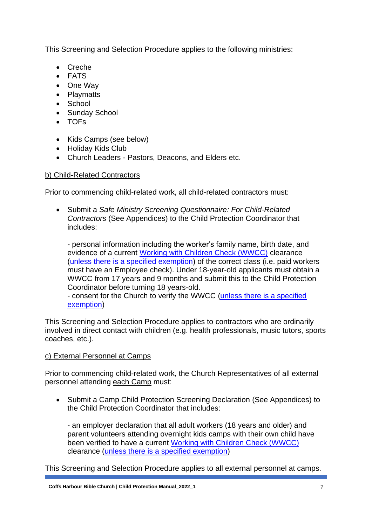This Screening and Selection Procedure applies to the following ministries:

- Creche
- FATS
- One Way
- Playmatts
- School
- Sunday School
- TOFs
- Kids Camps (see below)
- Holiday Kids Club
- Church Leaders Pastors, Deacons, and Elders etc.

#### b) Child-Related Contractors

Prior to commencing child-related work, all child-related contractors must:

• Submit a *Safe Ministry Screening Questionnaire: For Child-Related Contractors* (See Appendices) to the Child Protection Coordinator that includes:

- personal information including the worker's family name, birth date, and evidence of a current [Working with Children Check \(WWCC\)](https://www.ocg.nsw.gov.au/child-safe-organisations/working-with-children-check) clearance [\(unless there is a specified exemption\)](https://www.ocg.nsw.gov.au/child-safe-organisations/working-with-children-check/employer/who-needs-a-working-with-children-check) of the correct class (i.e. paid workers must have an Employee check). Under 18-year-old applicants must obtain a WWCC from 17 years and 9 months and submit this to the Child Protection Coordinator before turning 18 years-old.

- consent for the Church to verify the WWCC [\(unless there is a specified](https://www.ocg.nsw.gov.au/child-safe-organisations/working-with-children-check/employer/who-needs-a-working-with-children-check)  [exemption\)](https://www.ocg.nsw.gov.au/child-safe-organisations/working-with-children-check/employer/who-needs-a-working-with-children-check)

This Screening and Selection Procedure applies to contractors who are ordinarily involved in direct contact with children (e.g. health professionals, music tutors, sports coaches, etc.).

### c) External Personnel at Camps

Prior to commencing child-related work, the Church Representatives of all external personnel attending each Camp must:

• Submit a Camp Child Protection Screening Declaration (See Appendices) to the Child Protection Coordinator that includes:

- an employer declaration that all adult workers (18 years and older) and parent volunteers attending overnight kids camps with their own child have been verified to have a current [Working with Children Check \(WWCC\)](https://www.ocg.nsw.gov.au/child-safe-organisations/working-with-children-check) clearance [\(unless there is a specified exemption\)](https://www.ocg.nsw.gov.au/child-safe-organisations/working-with-children-check/employer/who-needs-a-working-with-children-check)

This Screening and Selection Procedure applies to all external personnel at camps.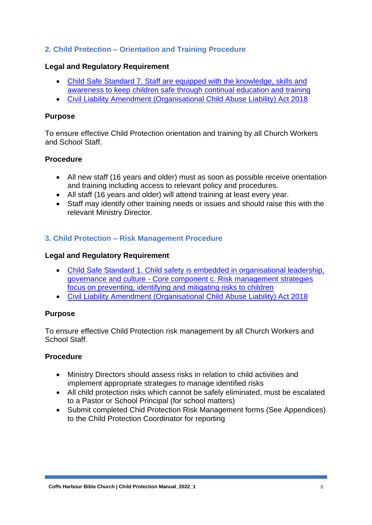### **2. Child Protection – Orientation and Training Procedure**

### **Legal and Regulatory Requirement**

- [Child Safe Standard 7. Staff are equipped with the knowledge, skills and](https://www.ocg.nsw.gov.au/child-safe-organisations/training-and-resources/child-safe-standards#acc6)  [awareness to keep children safe through continual education and](https://www.ocg.nsw.gov.au/child-safe-organisations/training-and-resources/child-safe-standards#acc6) training
- [Civil Liability Amendment \(Organisational Child Abuse Liability\) Act 2018](https://legislation.nsw.gov.au/view/pdf/asmade/act-2018-56)

### **Purpose**

To ensure effective Child Protection orientation and training by all Church Workers and School Staff.

### **Procedure**

- All new staff (16 years and older) must as soon as possible receive orientation and training including access to relevant policy and procedures.
- All staff (16 years and older) will attend training at least every year.
- Staff may identify other training needs or issues and should raise this with the relevant Ministry Director.

### **3. Child Protection – Risk Management Procedure**

#### **Legal and Regulatory Requirement**

- [Child Safe Standard 1. Child safety is embedded in organisational leadership,](https://www.ocg.nsw.gov.au/child-safe-organisations/training-and-resources/child-safe-standards#acc0)  governance and culture - [Core component c. Risk management](https://www.ocg.nsw.gov.au/child-safe-organisations/training-and-resources/child-safe-standards#acc0) strategies [focus on preventing, identifying and mitigating risks to children](https://www.ocg.nsw.gov.au/child-safe-organisations/training-and-resources/child-safe-standards#acc0)
- [Civil Liability Amendment \(Organisational Child Abuse Liability\) Act 2018](https://legislation.nsw.gov.au/view/pdf/asmade/act-2018-56)

### **Purpose**

To ensure effective Child Protection risk management by all Church Workers and School Staff.

### **Procedure**

- Ministry Directors should assess risks in relation to child activities and implement appropriate strategies to manage identified risks
- All child protection risks which cannot be safely eliminated, must be escalated to a Pastor or School Principal (for school matters)
- Submit completed Chid Protection Risk Management forms (See Appendices) to the Child Protection Coordinator for reporting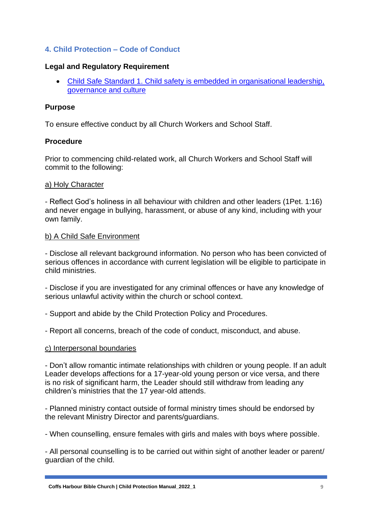### **4. Child Protection – Code of Conduct**

#### **Legal and Regulatory Requirement**

• [Child Safe Standard 1. Child safety is embedded in organisational leadership,](https://www.ocg.nsw.gov.au/child-safe-organisations/training-and-resources/child-safe-standards#acc0)  [governance and culture](https://www.ocg.nsw.gov.au/child-safe-organisations/training-and-resources/child-safe-standards#acc0)

#### **Purpose**

To ensure effective conduct by all Church Workers and School Staff.

#### **Procedure**

Prior to commencing child-related work, all Church Workers and School Staff will commit to the following:

#### a) Holy Character

- Reflect God's holiness in all behaviour with children and other leaders (1Pet. 1:16) and never engage in bullying, harassment, or abuse of any kind, including with your own family.

#### b) A Child Safe Environment

- Disclose all relevant background information. No person who has been convicted of serious offences in accordance with current legislation will be eligible to participate in child ministries.

- Disclose if you are investigated for any criminal offences or have any knowledge of serious unlawful activity within the church or school context.

- Support and abide by the Child Protection Policy and Procedures.
- Report all concerns, breach of the code of conduct, misconduct, and abuse.

#### c) Interpersonal boundaries

- Don't allow romantic intimate relationships with children or young people. If an adult Leader develops affections for a 17-year-old young person or vice versa, and there is no risk of significant harm, the Leader should still withdraw from leading any children's ministries that the 17 year-old attends.

- Planned ministry contact outside of formal ministry times should be endorsed by the relevant Ministry Director and parents/guardians.

- When counselling, ensure females with girls and males with boys where possible.

- All personal counselling is to be carried out within sight of another leader or parent/ guardian of the child.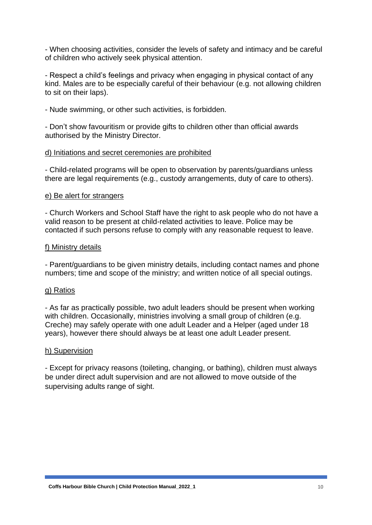- When choosing activities, consider the levels of safety and intimacy and be careful of children who actively seek physical attention.

- Respect a child's feelings and privacy when engaging in physical contact of any kind. Males are to be especially careful of their behaviour (e.g. not allowing children to sit on their laps).

- Nude swimming, or other such activities, is forbidden.

- Don't show favouritism or provide gifts to children other than official awards authorised by the Ministry Director.

#### d) Initiations and secret ceremonies are prohibited

- Child-related programs will be open to observation by parents/guardians unless there are legal requirements (e.g., custody arrangements, duty of care to others).

#### e) Be alert for strangers

- Church Workers and School Staff have the right to ask people who do not have a valid reason to be present at child-related activities to leave. Police may be contacted if such persons refuse to comply with any reasonable request to leave.

#### f) Ministry details

- Parent/guardians to be given ministry details, including contact names and phone numbers; time and scope of the ministry; and written notice of all special outings.

#### g) Ratios

- As far as practically possible, two adult leaders should be present when working with children. Occasionally, ministries involving a small group of children (e.g. Creche) may safely operate with one adult Leader and a Helper (aged under 18 years), however there should always be at least one adult Leader present.

#### h) Supervision

- Except for privacy reasons (toileting, changing, or bathing), children must always be under direct adult supervision and are not allowed to move outside of the supervising adults range of sight.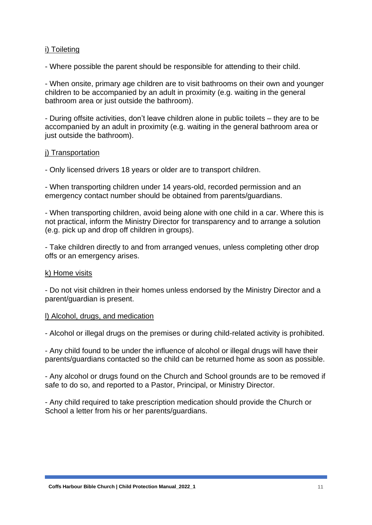#### i) Toileting

- Where possible the parent should be responsible for attending to their child.

- When onsite, primary age children are to visit bathrooms on their own and younger children to be accompanied by an adult in proximity (e.g. waiting in the general bathroom area or just outside the bathroom).

- During offsite activities, don't leave children alone in public toilets – they are to be accompanied by an adult in proximity (e.g. waiting in the general bathroom area or just outside the bathroom).

#### j) Transportation

- Only licensed drivers 18 years or older are to transport children.

- When transporting children under 14 years-old, recorded permission and an emergency contact number should be obtained from parents/guardians.

- When transporting children, avoid being alone with one child in a car. Where this is not practical, inform the Ministry Director for transparency and to arrange a solution (e.g. pick up and drop off children in groups).

- Take children directly to and from arranged venues, unless completing other drop offs or an emergency arises.

#### k) Home visits

- Do not visit children in their homes unless endorsed by the Ministry Director and a parent/guardian is present.

#### l) Alcohol, drugs, and medication

- Alcohol or illegal drugs on the premises or during child-related activity is prohibited.

- Any child found to be under the influence of alcohol or illegal drugs will have their parents/guardians contacted so the child can be returned home as soon as possible.

- Any alcohol or drugs found on the Church and School grounds are to be removed if safe to do so, and reported to a Pastor, Principal, or Ministry Director.

- Any child required to take prescription medication should provide the Church or School a letter from his or her parents/guardians.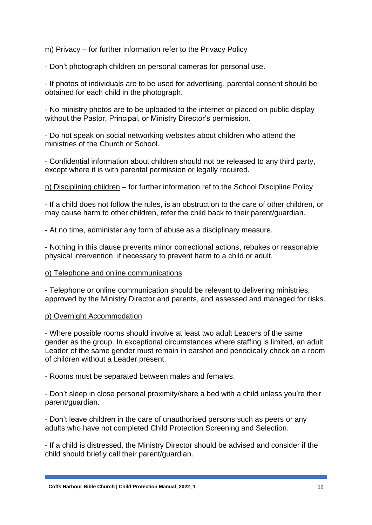m) Privacy – for further information refer to the Privacy Policy

- Don't photograph children on personal cameras for personal use.

- If photos of individuals are to be used for advertising, parental consent should be obtained for each child in the photograph.

- No ministry photos are to be uploaded to the internet or placed on public display without the Pastor, Principal, or Ministry Director's permission.

- Do not speak on social networking websites about children who attend the ministries of the Church or School.

- Confidential information about children should not be released to any third party, except where it is with parental permission or legally required.

n) Disciplining children – for further information ref to the School Discipline Policy

- If a child does not follow the rules, is an obstruction to the care of other children, or may cause harm to other children, refer the child back to their parent/guardian.

- At no time, administer any form of abuse as a disciplinary measure.

- Nothing in this clause prevents minor correctional actions, rebukes or reasonable physical intervention, if necessary to prevent harm to a child or adult.

#### o) Telephone and online communications

- Telephone or online communication should be relevant to delivering ministries, approved by the Ministry Director and parents, and assessed and managed for risks.

#### p) Overnight Accommodation

- Where possible rooms should involve at least two adult Leaders of the same gender as the group. In exceptional circumstances where staffing is limited, an adult Leader of the same gender must remain in earshot and periodically check on a room of children without a Leader present.

- Rooms must be separated between males and females.

- Don't sleep in close personal proximity/share a bed with a child unless you're their parent/guardian.

- Don't leave children in the care of unauthorised persons such as peers or any adults who have not completed Child Protection Screening and Selection.

- If a child is distressed, the Ministry Director should be advised and consider if the child should briefly call their parent/guardian.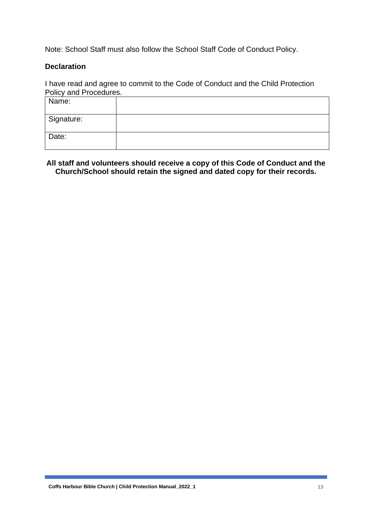Note: School Staff must also follow the School Staff Code of Conduct Policy.

#### **Declaration**

I have read and agree to commit to the Code of Conduct and the Child Protection Policy and Procedures.

| Name:      |  |
|------------|--|
| Signature: |  |
| Date:      |  |

### **All staff and volunteers should receive a copy of this Code of Conduct and the Church/School should retain the signed and dated copy for their records.**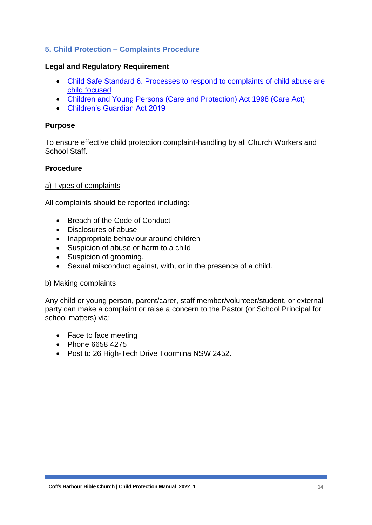### **5. Child Protection – Complaints Procedure**

### **Legal and Regulatory Requirement**

- [Child Safe Standard 6. Processes to respond to complaints of child abuse are](https://www.ocg.nsw.gov.au/child-safe-organisations/training-and-resources/child-safe-standards#acc5)  [child focused](https://www.ocg.nsw.gov.au/child-safe-organisations/training-and-resources/child-safe-standards#acc5)
- [Children and Young Persons \(Care and Protection\) Act 1998 \(Care Act\)](http://www.legislation.nsw.gov.au/fullhtml/inforce/act+157+1998+FIRST+0+N)
- [Children's Guardian Act 2019](https://legislation.nsw.gov.au/view/html/inforce/current/act-2019-025)

#### **Purpose**

To ensure effective child protection complaint-handling by all Church Workers and School Staff.

### **Procedure**

#### a) Types of complaints

All complaints should be reported including:

- Breach of the Code of Conduct
- Disclosures of abuse
- Inappropriate behaviour around children
- Suspicion of abuse or harm to a child
- Suspicion of grooming.
- Sexual misconduct against, with, or in the presence of a child.

#### b) Making complaints

Any child or young person, parent/carer, staff member/volunteer/student, or external party can make a complaint or raise a concern to the Pastor (or School Principal for school matters) via:

- Face to face meeting
- Phone 6658 4275
- Post to 26 High-Tech Drive Toormina NSW 2452.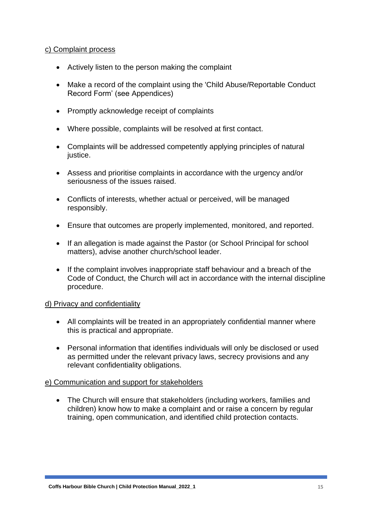#### c) Complaint process

- Actively listen to the person making the complaint
- Make a record of the complaint using the 'Child Abuse/Reportable Conduct Record Form' (see Appendices)
- Promptly acknowledge receipt of complaints
- Where possible, complaints will be resolved at first contact.
- Complaints will be addressed competently applying principles of natural justice.
- Assess and prioritise complaints in accordance with the urgency and/or seriousness of the issues raised.
- Conflicts of interests, whether actual or perceived, will be managed responsibly.
- Ensure that outcomes are properly implemented, monitored, and reported.
- If an allegation is made against the Pastor (or School Principal for school matters), advise another church/school leader.
- If the complaint involves inappropriate staff behaviour and a breach of the Code of Conduct, the Church will act in accordance with the internal discipline procedure.

#### d) Privacy and confidentiality

- All complaints will be treated in an appropriately confidential manner where this is practical and appropriate.
- Personal information that identifies individuals will only be disclosed or used as permitted under the relevant privacy laws, secrecy provisions and any relevant confidentiality obligations.

#### e) Communication and support for stakeholders

• The Church will ensure that stakeholders (including workers, families and children) know how to make a complaint and or raise a concern by regular training, open communication, and identified child protection contacts.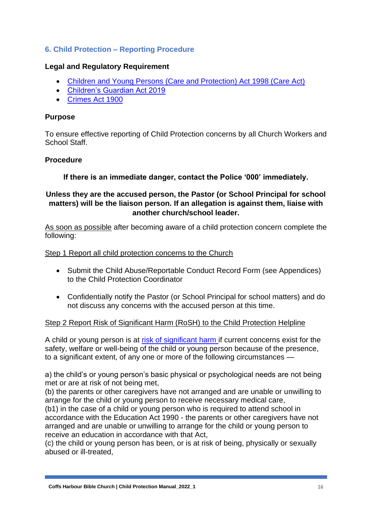### **6. Child Protection – Reporting Procedure**

### **Legal and Regulatory Requirement**

- [Children and Young Persons \(Care and Protection\) Act 1998 \(Care Act\)](http://www.legislation.nsw.gov.au/fullhtml/inforce/act+157+1998+FIRST+0+N)
- [Children's Guardian Act 2019](https://legislation.nsw.gov.au/view/html/inforce/current/act-2019-025)
- [Crimes Act 1900](https://www.legislation.nsw.gov.au/#/view/act/1900/40)

### **Purpose**

To ensure effective reporting of Child Protection concerns by all Church Workers and School Staff.

#### **Procedure**

**If there is an immediate danger, contact the Police '000' immediately.**

### **Unless they are the accused person, the Pastor (or School Principal for school matters) will be the liaison person. If an allegation is against them, liaise with another church/school leader.**

As soon as possible after becoming aware of a child protection concern complete the following:

Step 1 Report all child protection concerns to the Church

- Submit the Child Abuse/Reportable Conduct Record Form (see Appendices) to the Child Protection Coordinator
- Confidentially notify the Pastor (or School Principal for school matters) and do not discuss any concerns with the accused person at this time.

#### Step 2 Report Risk of Significant Harm (RoSH) to the Child Protection Helpline

A child or young person is at [risk of significant harm](https://legislation.nsw.gov.au/view/html/inforce/current/act-1998-157#sec.23) if current concerns exist for the safety, welfare or well-being of the child or young person because of the presence, to a significant extent, of any one or more of the following circumstances —

a) the child's or young person's basic physical or psychological needs are not being met or are at risk of not being met,

(b) the parents or other caregivers have not arranged and are unable or unwilling to arrange for the child or young person to receive necessary medical care,

(b1) in the case of a child or young person who is required to attend school in accordance with the Education Act 1990 - the parents or other caregivers have not arranged and are unable or unwilling to arrange for the child or young person to receive an education in accordance with that Act,

(c) the child or young person has been, or is at risk of being, physically or sexually abused or ill-treated,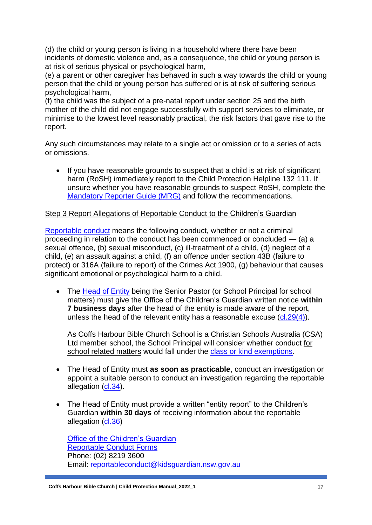(d) the child or young person is living in a household where there have been incidents of domestic violence and, as a consequence, the child or young person is at risk of serious physical or psychological harm,

(e) a parent or other caregiver has behaved in such a way towards the child or young person that the child or young person has suffered or is at risk of suffering serious psychological harm,

(f) the child was the subject of a pre-natal report under section 25 and the birth mother of the child did not engage successfully with support services to eliminate, or minimise to the lowest level reasonably practical, the risk factors that gave rise to the report.

Any such circumstances may relate to a single act or omission or to a series of acts or omissions.

• If you have reasonable grounds to suspect that a child is at risk of significant harm (RoSH) immediately report to the Child Protection Helpline 132 111. If unsure whether you have reasonable grounds to suspect RoSH, complete the [Mandatory Reporter Guide \(MRG\)](https://reporter.childstory.nsw.gov.au/s/mrg) and follow the recommendations.

### Step 3 Report Allegations of Reportable Conduct to the Children's Guardian

[Reportable conduct](https://legislation.nsw.gov.au/#/view/act/2019/25/part4) means the following conduct, whether or not a criminal proceeding in relation to the conduct has been commenced or concluded — (a) a sexual offence, (b) sexual misconduct, (c) ill-treatment of a child, (d) neglect of a child, (e) an assault against a child, (f) an offence under section 43B (failure to protect) or 316A (failure to report) of the Crimes Act 1900, (g) behaviour that causes significant emotional or psychological harm to a child.

• The [Head of Entity](https://legislation.nsw.gov.au/#/view/act/2019/25/part4) being the Senior Pastor (or School Principal for school matters) must give the Office of the Children's Guardian written notice **within 7 business days** after the head of the entity is made aware of the report, unless the head of the relevant entity has a reasonable excuse  $(cl.29(4))$ .

As Coffs Harbour Bible Church School is a Christian Schools Australia (CSA) Ltd member school, the School Principal will consider whether conduct for school related matters would fall under the [class or kind exemptions.](https://legislation.nsw.gov.au/view/html/inforce/current/act-2019-025#sec.30)

- The Head of Entity must **as soon as practicable**, conduct an investigation or appoint a suitable person to conduct an investigation regarding the reportable allegation [\(cl.34\)](https://legislation.nsw.gov.au/#/view/act/2019/25/part4/div5).
- The Head of Entity must provide a written "entity report" to the Children's Guardian **within 30 days** of receiving information about the reportable allegation [\(cl.36\)](https://legislation.nsw.gov.au/#/view/act/2019/25/part4/div5)

[Office of the Children's Guardian](https://www.ocg.nsw.gov.au/child-safe-organisations/working-with-children-check/employer/who-needs-a-working-with-children-check) [Reportable Conduct Forms](https://ocg.nsw.gov.au/organisations/reportable-conduct-scheme/reportable-conduct-notification-forms) Phone: (02) 8219 3600 Email: [reportableconduct@kidsguardian.nsw.gov.au](mailto:reportableconduct@kidsguardian.nsw.gov.au)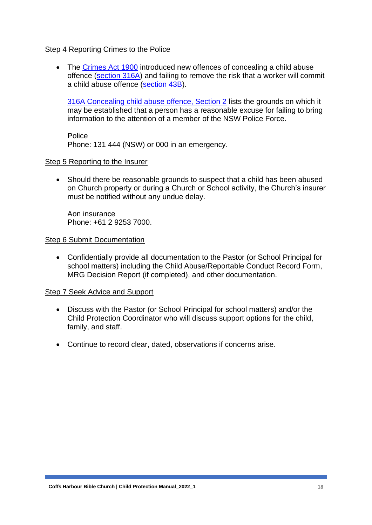#### Step 4 Reporting Crimes to the Police

• The [Crimes Act 1900](https://www.legislation.nsw.gov.au/#/view/act/1900/40) introduced new offences of concealing a child abuse offence [\(section 316A\)](https://legislation.nsw.gov.au/view/html/inforce/current/act-1900-040#sec.316A) and failing to remove the risk that a worker will commit a child abuse offence [\(section 43B\)](https://legislation.nsw.gov.au/view/html/inforce/current/act-1900-040#sec.43B).

[316A Concealing child abuse offence, Section 2](https://legislation.nsw.gov.au/view/html/inforce/current/act-1900-040#sec.316A) lists the grounds on which it may be established that a person has a reasonable excuse for failing to bring information to the attention of a member of the NSW Police Force.

**Police** Phone: 131 444 (NSW) or 000 in an emergency.

#### Step 5 Reporting to the Insurer

• Should there be reasonable grounds to suspect that a child has been abused on Church property or during a Church or School activity, the Church's insurer must be notified without any undue delay.

Aon insurance Phone: +61 2 9253 7000.

#### Step 6 Submit Documentation

• Confidentially provide all documentation to the Pastor (or School Principal for school matters) including the Child Abuse/Reportable Conduct Record Form, MRG Decision Report (if completed), and other documentation.

#### Step 7 Seek Advice and Support

- Discuss with the Pastor (or School Principal for school matters) and/or the Child Protection Coordinator who will discuss support options for the child, family, and staff.
- Continue to record clear, dated, observations if concerns arise.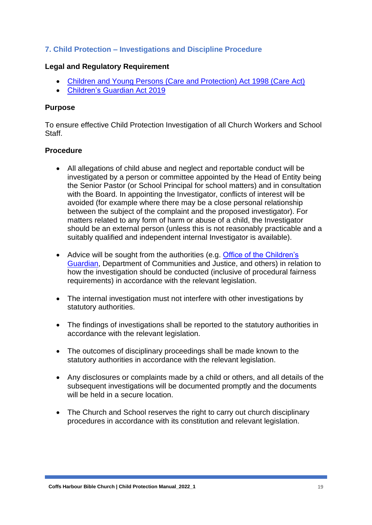### **7. Child Protection – Investigations and Discipline Procedure**

#### **Legal and Regulatory Requirement**

- [Children and Young Persons \(Care and Protection\) Act 1998 \(Care Act\)](http://www.legislation.nsw.gov.au/fullhtml/inforce/act+157+1998+FIRST+0+N)
- [Children's Guardian Act 2019](https://legislation.nsw.gov.au/view/html/inforce/current/act-2019-025)

#### **Purpose**

To ensure effective Child Protection Investigation of all Church Workers and School Staff.

#### **Procedure**

- All allegations of child abuse and neglect and reportable conduct will be investigated by a person or committee appointed by the Head of Entity being the Senior Pastor (or School Principal for school matters) and in consultation with the Board. In appointing the Investigator, conflicts of interest will be avoided (for example where there may be a close personal relationship between the subject of the complaint and the proposed investigator). For matters related to any form of harm or abuse of a child, the Investigator should be an external person (unless this is not reasonably practicable and a suitably qualified and independent internal Investigator is available).
- Advice will be sought from the authorities (e.g. Office of the Children's [Guardian,](https://www.ocg.nsw.gov.au/child-safe-organisations/working-with-children-check/employer/who-needs-a-working-with-children-check) Department of Communities and Justice, and others) in relation to how the investigation should be conducted (inclusive of procedural fairness requirements) in accordance with the relevant legislation.
- The internal investigation must not interfere with other investigations by statutory authorities.
- The findings of investigations shall be reported to the statutory authorities in accordance with the relevant legislation.
- The outcomes of disciplinary proceedings shall be made known to the statutory authorities in accordance with the relevant legislation.
- Any disclosures or complaints made by a child or others, and all details of the subsequent investigations will be documented promptly and the documents will be held in a secure location.
- The Church and School reserves the right to carry out church disciplinary procedures in accordance with its constitution and relevant legislation.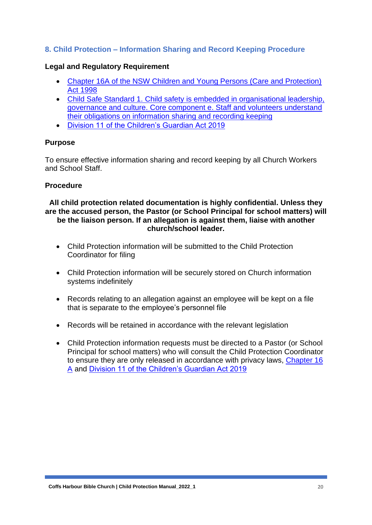### **8. Child Protection – Information Sharing and Record Keeping Procedure**

### **Legal and Regulatory Requirement**

- [Chapter 16A of the NSW Children and Young Persons \(Care and Protection\)](https://www.legislation.nsw.gov.au/#/view/act/1998/157/chap16a)  [Act 1998](https://www.legislation.nsw.gov.au/#/view/act/1998/157/chap16a)
- [Child Safe Standard 1. Child safety is embedded in organisational leadership,](https://www.ocg.nsw.gov.au/child-safe-organisations/training-and-resources/child-safe-standards#acc0)  [governance and culture. Core component e. Staff and volunteers understand](https://www.ocg.nsw.gov.au/child-safe-organisations/training-and-resources/child-safe-standards#acc0)  [their obligations on information sharing and recording keeping](https://www.ocg.nsw.gov.au/child-safe-organisations/training-and-resources/child-safe-standards#acc0)
- [Division 11 of the Children's Guardian Act 2019](https://legislation.nsw.gov.au/view/html/inforce/current/act-2019-025#pt.4-div.11)

### **Purpose**

To ensure effective information sharing and record keeping by all Church Workers and School Staff.

### **Procedure**

#### **All child protection related documentation is highly confidential. Unless they are the accused person, the Pastor (or School Principal for school matters) will be the liaison person. If an allegation is against them, liaise with another church/school leader.**

- Child Protection information will be submitted to the Child Protection Coordinator for filing
- Child Protection information will be securely stored on Church information systems indefinitely
- Records relating to an allegation against an employee will be kept on a file that is separate to the employee's personnel file
- Records will be retained in accordance with the relevant legislation
- Child Protection information requests must be directed to a Pastor (or School Principal for school matters) who will consult the Child Protection Coordinator to ensure they are only released in accordance with privacy laws, [Chapter 16](https://www.facs.nsw.gov.au/providers/children-families/interagency-guidelines/information-sharing-for-service-coordination/chapters/resources)  [A](https://www.facs.nsw.gov.au/providers/children-families/interagency-guidelines/information-sharing-for-service-coordination/chapters/resources) and [Division 11 of the Children's Guardian Act 2019](https://legislation.nsw.gov.au/view/html/inforce/current/act-2019-025#pt.4-div.11)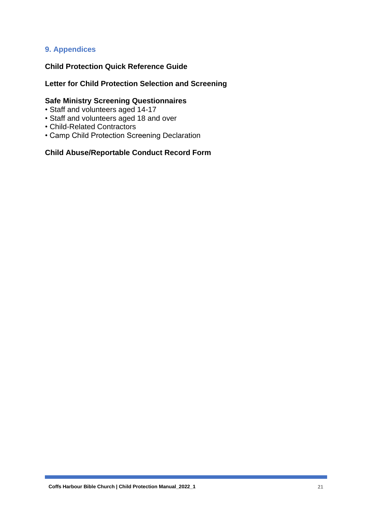### **9. Appendices**

### **Child Protection Quick Reference Guide**

### **Letter for Child Protection Selection and Screening**

### **Safe Ministry Screening Questionnaires**

- Staff and volunteers aged 14-17
- Staff and volunteers aged 18 and over
- Child-Related Contractors
- Camp Child Protection Screening Declaration

#### **Child Abuse/Reportable Conduct Record Form**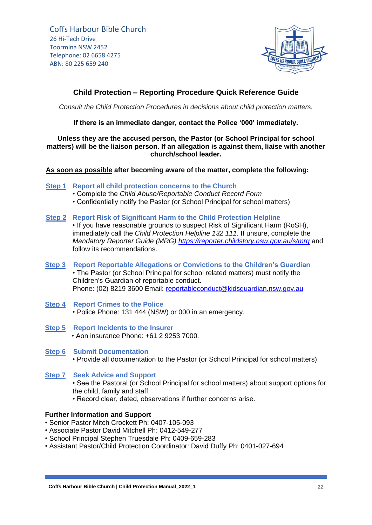

### **Child Protection – Reporting Procedure Quick Reference Guide**

*Consult the Child Protection Procedures in decisions about child protection matters.*

**If there is an immediate danger, contact the Police '000' immediately.**

#### **Unless they are the accused person, the Pastor (or School Principal for school matters) will be the liaison person. If an allegation is against them, liaise with another church/school leader.**

#### **As soon as possible after becoming aware of the matter, complete the following:**

- **Step 1 Report all child protection concerns to the Church**
	- Complete the *Child Abuse/Reportable Conduct Record Form*
	- Confidentially notify the Pastor (or School Principal for school matters)

#### **Step 2 Report Risk of Significant Harm to the Child Protection Helpline**

• If you have reasonable grounds to suspect Risk of Significant Harm (RoSH), immediately call the *Child Protection Helpline 132 111.* If unsure, complete the *Mandatory Reporter Guide (MRG)<https://reporter.childstory.nsw.gov.au/s/mrg>* and follow its recommendations.

- **Step 3 Report Reportable Allegations or Convictions to the Children's Guardian** • The Pastor (or School Principal for school related matters) must notify the Children's Guardian of reportable conduct. Phone: (02) 8219 3600 Email: reportableconduct@kidsquardian.nsw.gov.au
- **Step 4 Report Crimes to the Police** • Police Phone: 131 444 (NSW) or 000 in an emergency.
- **Step 5 Report Incidents to the Insurer** • Aon insurance Phone: +61 2 9253 7000.
- **Step 6 Submit Documentation** • Provide all documentation to the Pastor (or School Principal for school matters).
- **Step 7 Seek Advice and Support** • See the Pastoral (or School Principal for school matters) about support options for the child, family and staff.
	- Record clear, dated, observations if further concerns arise.

#### **Further Information and Support**

- Senior Pastor Mitch Crockett Ph: 0407-105-093
- Associate Pastor David Mitchell Ph: 0412-549-277
- School Principal Stephen Truesdale Ph: 0409-659-283
- Assistant Pastor/Child Protection Coordinator: David Duffy Ph: 0401-027-694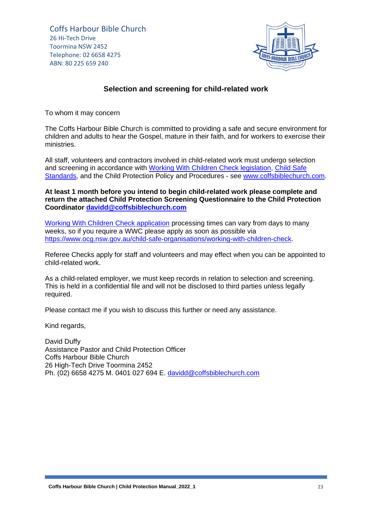

#### **Selection and screening for child-related work**

To whom it may concern

The Coffs Harbour Bible Church is committed to providing a safe and secure environment for children and adults to hear the Gospel, mature in their faith, and for workers to exercise their ministries.

All staff, volunteers and contractors involved in child-related work must undergo selection and screening in accordance with [Working With Children Check legislation,](https://www.ocg.nsw.gov.au/child-safe-organisations/working-with-children-check/employer/who-needs-a-working-with-children-check) [Child Safe](https://www.ocg.nsw.gov.au/child-safe-organisations/training-and-resources/child-safe-standards)  [Standards,](https://www.ocg.nsw.gov.au/child-safe-organisations/training-and-resources/child-safe-standards) and the Child Protection Policy and Procedures - see [www.coffsbiblechurch.com.](http://www.coffsbiblechurch.com/)

**At least 1 month before you intend to begin child-related work please complete and return the attached Child Protection Screening Questionnaire to the Child Protection Coordinator [davidd@coffsbiblechurch.com](mailto:davidd@coffsbiblechurch.com)**

[Working With Children Check application](https://wwccheck.ocg.nsw.gov.au/Applicants/Application) processing times can vary from days to many weeks, so if you require a WWC please apply as soon as possible via [https://www.ocg.nsw.gov.au/child-safe-organisations/working-with-children-check.](https://www.ocg.nsw.gov.au/child-safe-organisations/working-with-children-check)

Referee Checks apply for staff and volunteers and may effect when you can be appointed to child-related work.

As a child-related employer, we must keep records in relation to selection and screening. This is held in a confidential file and will not be disclosed to third parties unless legally required.

Please contact me if you wish to discuss this further or need any assistance.

Kind regards,

David Duffy Assistance Pastor and Child Protection Officer Coffs Harbour Bible Church 26 High-Tech Drive Toormina 2452 Ph. (02) 6658 4275 M. 0401 027 694 E. [davidd@coffsbiblechurch.com](mailto:davidd@coffsbiblechurch.com)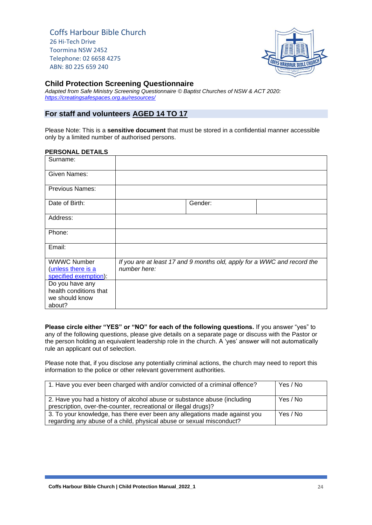

#### **Child Protection Screening Questionnaire**

*Adapted from Safe Ministry Screening Questionnaire © Baptist Churches of NSW & ACT 2020: <https://creatingsafespaces.org.au/resources/>*

#### **For staff and volunteers AGED 14 TO 17**

Please Note: This is a **sensitive document** that must be stored in a confidential manner accessible only by a limited number of authorised persons.

#### **PERSONAL DETAILS**

| Surname:                                  |              |                                                                         |  |
|-------------------------------------------|--------------|-------------------------------------------------------------------------|--|
| Given Names:                              |              |                                                                         |  |
| <b>Previous Names:</b>                    |              |                                                                         |  |
| Date of Birth:                            |              | Gender:                                                                 |  |
| Address:                                  |              |                                                                         |  |
| Phone:                                    |              |                                                                         |  |
| Email:                                    |              |                                                                         |  |
| <b>WWWC Number</b>                        |              | If you are at least 17 and 9 months old, apply for a WWC and record the |  |
| (unless there is a                        | number here: |                                                                         |  |
| specified exemption):                     |              |                                                                         |  |
| Do you have any<br>health conditions that |              |                                                                         |  |
| we should know                            |              |                                                                         |  |
| about?                                    |              |                                                                         |  |

**Please circle either "YES" or "NO" for each of the following questions.** If you answer "yes" to any of the following questions, please give details on a separate page or discuss with the Pastor or the person holding an equivalent leadership role in the church. A 'yes' answer will not automatically rule an applicant out of selection.

Please note that, if you disclose any potentially criminal actions, the church may need to report this information to the police or other relevant government authorities.

| 1. Have you ever been charged with and/or convicted of a criminal offence?                                                                         | Yes / No |
|----------------------------------------------------------------------------------------------------------------------------------------------------|----------|
| 2. Have you had a history of alcohol abuse or substance abuse (including<br>prescription, over-the-counter, recreational or illegal drugs)?        | Yes / No |
| 3. To your knowledge, has there ever been any allegations made against you<br>regarding any abuse of a child, physical abuse or sexual misconduct? | Yes / No |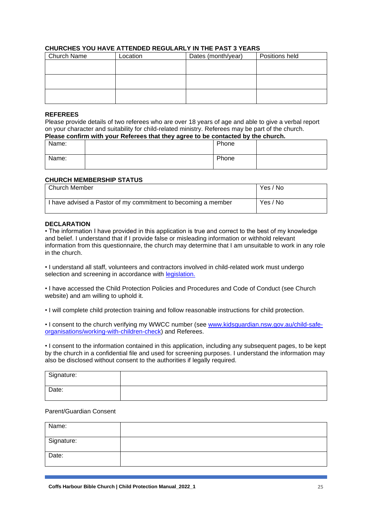#### **CHURCHES YOU HAVE ATTENDED REGULARLY IN THE PAST 3 YEARS**

| <b>Church Name</b> | Location | Dates (month/year) | Positions held |
|--------------------|----------|--------------------|----------------|
|                    |          |                    |                |
|                    |          |                    |                |
|                    |          |                    |                |
|                    |          |                    |                |
|                    |          |                    |                |
|                    |          |                    |                |

#### **REFEREES**

Please provide details of two referees who are over 18 years of age and able to give a verbal report on your character and suitability for child-related ministry. Referees may be part of the church. **Please confirm with your Referees that they agree to be contacted by the church.**

|       | __ |       |  |
|-------|----|-------|--|
| Name: |    | Phone |  |
| Name: |    | Phone |  |

#### **CHURCH MEMBERSHIP STATUS**

| Church Member                                                 | Yes / No |
|---------------------------------------------------------------|----------|
| I have advised a Pastor of my commitment to becoming a member | Yes / No |

#### **DECLARATION**

• The information I have provided in this application is true and correct to the best of my knowledge and belief. I understand that if I provide false or misleading information or withhold relevant information from this questionnaire, the church may determine that I am unsuitable to work in any role in the church.

• I understand all staff, volunteers and contractors involved in child-related work must undergo selection and screening in accordance with [legislation.](https://www.ocg.nsw.gov.au/child-safe-organisations/working-with-children-check/employer/who-needs-a-working-with-children-check)

• I have accessed the Child Protection Policies and Procedures and Code of Conduct (see Church website) and am willing to uphold it.

• I will complete child protection training and follow reasonable instructions for child protection.

• I consent to the church verifying my WWCC number (see [www.kidsguardian.nsw.gov.au/child-safe](http://www.kidsguardian.nsw.gov.au/child-safe-organisations/working-with-children-check)[organisations/working-with-children-check\)](http://www.kidsguardian.nsw.gov.au/child-safe-organisations/working-with-children-check) and Referees.

• I consent to the information contained in this application, including any subsequent pages, to be kept by the church in a confidential file and used for screening purposes. I understand the information may also be disclosed without consent to the authorities if legally required.

| Signature: |  |
|------------|--|
| Date:      |  |

#### Parent/Guardian Consent

| Name:      |  |
|------------|--|
| Signature: |  |
| Date:      |  |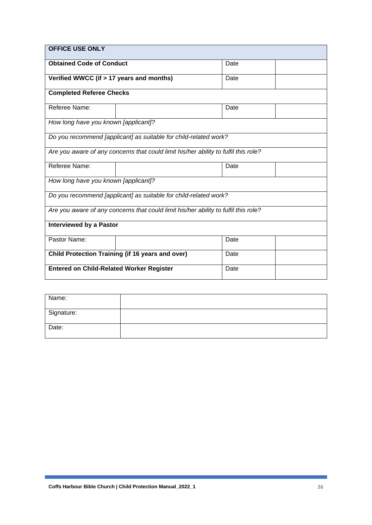| <b>OFFICE USE ONLY</b>                                                              |                                                                                     |      |  |  |
|-------------------------------------------------------------------------------------|-------------------------------------------------------------------------------------|------|--|--|
| <b>Obtained Code of Conduct</b><br>Date                                             |                                                                                     |      |  |  |
| Verified WWCC (if > 17 years and months)                                            |                                                                                     | Date |  |  |
| <b>Completed Referee Checks</b>                                                     |                                                                                     |      |  |  |
| Referee Name:                                                                       |                                                                                     | Date |  |  |
| How long have you known [applicant]?                                                |                                                                                     |      |  |  |
|                                                                                     | Do you recommend [applicant] as suitable for child-related work?                    |      |  |  |
|                                                                                     | Are you aware of any concerns that could limit his/her ability to fulfil this role? |      |  |  |
| Referee Name:                                                                       |                                                                                     | Date |  |  |
| How long have you known [applicant]?                                                |                                                                                     |      |  |  |
| Do you recommend [applicant] as suitable for child-related work?                    |                                                                                     |      |  |  |
| Are you aware of any concerns that could limit his/her ability to fulfil this role? |                                                                                     |      |  |  |
| <b>Interviewed by a Pastor</b>                                                      |                                                                                     |      |  |  |
| Pastor Name:                                                                        |                                                                                     | Date |  |  |
| <b>Child Protection Training (if 16 years and over)</b><br>Date                     |                                                                                     |      |  |  |
| <b>Entered on Child-Related Worker Register</b><br>Date                             |                                                                                     |      |  |  |

| Name:      |  |
|------------|--|
| Signature: |  |
| Date:      |  |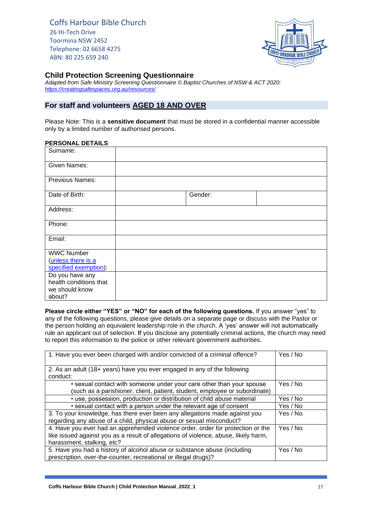

#### **Child Protection Screening Questionnaire**

*Adapted from Safe Ministry Screening Questionnaire © Baptist Churches of NSW & ACT 2020: <https://creatingsafespaces.org.au/resources/>*

#### **For staff and volunteers AGED 18 AND OVER**

Please Note: This is a **sensitive document** that must be stored in a confidential manner accessible only by a limited number of authorised persons.

#### **PERSONAL DETAILS**

| Surname:               |         |  |
|------------------------|---------|--|
| <b>Given Names:</b>    |         |  |
| Previous Names:        |         |  |
| Date of Birth:         | Gender: |  |
| Address:               |         |  |
| Phone:                 |         |  |
| Email:                 |         |  |
| <b>WWC Number</b>      |         |  |
| (unless there is a     |         |  |
| specified exemption):  |         |  |
| Do you have any        |         |  |
| health conditions that |         |  |
| we should know         |         |  |
| about?                 |         |  |

**Please circle either "YES" or "NO" for each of the following questions.** If you answer "yes" to any of the following questions, please give details on a separate page or discuss with the Pastor or the person holding an equivalent leadership role in the church. A 'yes' answer will not automatically rule an applicant out of selection. **I**f you disclose any potentially criminal actions, the church may need to report this information to the police or other relevant government authorities.

| 1. Have you ever been charged with and/or convicted of a criminal offence?                                                                                                                           | Yes / No |
|------------------------------------------------------------------------------------------------------------------------------------------------------------------------------------------------------|----------|
| 2. As an adult (18+ years) have you ever engaged in any of the following<br>conduct:                                                                                                                 |          |
| • sexual contact with someone under your care other than your spouse<br>(such as a parishioner, client, patient, student, employee or subordinate)                                                   | Yes / No |
| • use, possession, production or distribution of child abuse material                                                                                                                                | Yes / No |
| • sexual contact with a person under the relevant age of consent                                                                                                                                     | Yes / No |
| 3. To your knowledge, has there ever been any allegations made against you<br>regarding any abuse of a child, physical abuse or sexual misconduct?                                                   | Yes / No |
| 4. Have you ever had an apprehended violence order, order for protection or the<br>like issued against you as a result of allegations of violence, abuse, likely harm,<br>harassment, stalking, etc? | Yes / No |
| 5. Have you had a history of alcohol abuse or substance abuse (including<br>prescription, over-the-counter, recreational or illegal drugs)?                                                          | Yes / No |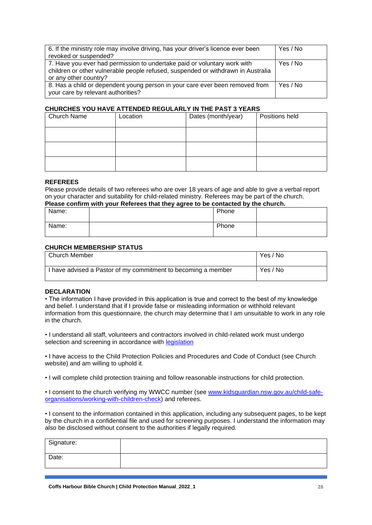| 6. If the ministry role may involve driving, has your driver's licence ever been<br>revoked or suspended?                                                                             | Yes / No |
|---------------------------------------------------------------------------------------------------------------------------------------------------------------------------------------|----------|
| 7. Have you ever had permission to undertake paid or voluntary work with<br>children or other vulnerable people refused, suspended or withdrawn in Australia<br>or any other country? | Yes / No |
| 8. Has a child or dependent young person in your care ever been removed from<br>your care by relevant authorities?                                                                    | Yes / No |

#### **CHURCHES YOU HAVE ATTENDED REGULARLY IN THE PAST 3 YEARS**

| Church Name | Location | Dates (month/year) | Positions held |
|-------------|----------|--------------------|----------------|
|             |          |                    |                |
|             |          |                    |                |
|             |          |                    |                |

#### **REFEREES**

Please provide details of two referees who are over 18 years of age and able to give a verbal report on your character and suitability for child-related ministry. Referees may be part of the church.

#### **Please confirm with your Referees that they agree to be contacted by the church.**

| Name: | Phone |  |
|-------|-------|--|
| Name: | Phone |  |

#### **CHURCH MEMBERSHIP STATUS**

| Church Member                                                 | Yes / No |
|---------------------------------------------------------------|----------|
| I have advised a Pastor of my commitment to becoming a member | Yes / No |

#### **DECLARATION**

• The information I have provided in this application is true and correct to the best of my knowledge and belief. I understand that if I provide false or misleading information or withhold relevant information from this questionnaire, the church may determine that I am unsuitable to work in any role in the church.

• I understand all staff, volunteers and contractors involved in child-related work must undergo selection and screening in accordance with [legislation](https://www.ocg.nsw.gov.au/child-safe-organisations/working-with-children-check/employer/who-needs-a-working-with-children-check)

• I have access to the Child Protection Policies and Procedures and Code of Conduct (see Church website) and am willing to uphold it.

• I will complete child protection training and follow reasonable instructions for child protection.

• I consent to the church verifying my WWCC number (see [www.kidsguardian.nsw.gov.au/child-safe](http://www.kidsguardian.nsw.gov.au/child-safe-organisations/working-with-children-check)[organisations/working-with-children-check\)](http://www.kidsguardian.nsw.gov.au/child-safe-organisations/working-with-children-check) and referees.

• I consent to the information contained in this application, including any subsequent pages, to be kept by the church in a confidential file and used for screening purposes. I understand the information may also be disclosed without consent to the authorities if legally required.

| Signature: |  |
|------------|--|
| Date:      |  |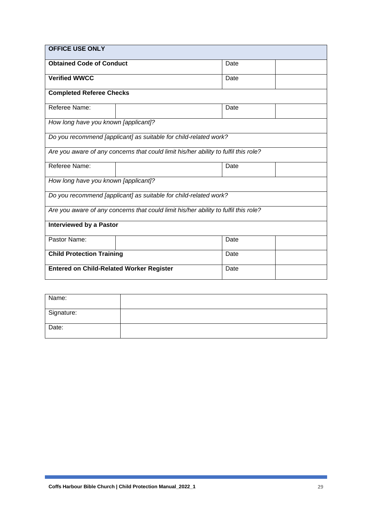| <b>OFFICE USE ONLY</b>                                  |                                                                                     |      |  |
|---------------------------------------------------------|-------------------------------------------------------------------------------------|------|--|
| <b>Obtained Code of Conduct</b><br>Date                 |                                                                                     |      |  |
| <b>Verified WWCC</b>                                    |                                                                                     | Date |  |
| <b>Completed Referee Checks</b>                         |                                                                                     |      |  |
| Referee Name:                                           |                                                                                     | Date |  |
| How long have you known [applicant]?                    |                                                                                     |      |  |
|                                                         | Do you recommend [applicant] as suitable for child-related work?                    |      |  |
|                                                         | Are you aware of any concerns that could limit his/her ability to fulfil this role? |      |  |
| Referee Name:                                           |                                                                                     | Date |  |
| How long have you known [applicant]?                    |                                                                                     |      |  |
|                                                         | Do you recommend [applicant] as suitable for child-related work?                    |      |  |
|                                                         | Are you aware of any concerns that could limit his/her ability to fulfil this role? |      |  |
| <b>Interviewed by a Pastor</b>                          |                                                                                     |      |  |
| Pastor Name:                                            |                                                                                     | Date |  |
| <b>Child Protection Training</b>                        |                                                                                     | Date |  |
| <b>Entered on Child-Related Worker Register</b><br>Date |                                                                                     |      |  |

| Name:      |  |
|------------|--|
| Signature: |  |
| Date:      |  |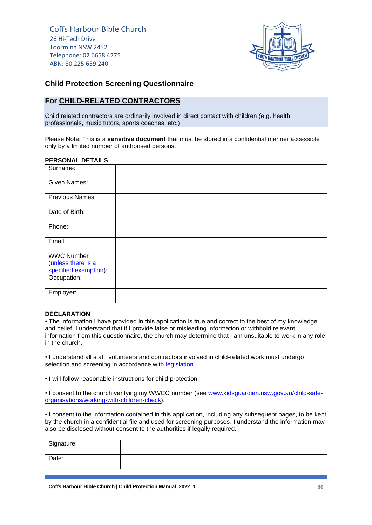

#### **Child Protection Screening Questionnaire**

#### **For CHILD-RELATED CONTRACTORS**

Child related contractors are ordinarily involved in direct contact with children (e.g. health professionals, music tutors, sports coaches, etc.)

Please Note: This is a **sensitive document** that must be stored in a confidential manner accessible only by a limited number of authorised persons.

#### **PERSONAL DETAILS**

| Surname:              |  |  |  |
|-----------------------|--|--|--|
| Given Names:          |  |  |  |
| Previous Names:       |  |  |  |
| Date of Birth:        |  |  |  |
| Phone:                |  |  |  |
| Email:                |  |  |  |
| <b>WWC Number</b>     |  |  |  |
| (unless there is a    |  |  |  |
| specified exemption): |  |  |  |
| Occupation:           |  |  |  |
| Employer:             |  |  |  |

#### **DECLARATION**

• The information I have provided in this application is true and correct to the best of my knowledge and belief. I understand that if I provide false or misleading information or withhold relevant information from this questionnaire, the church may determine that I am unsuitable to work in any role in the church.

• I understand all staff, volunteers and contractors involved in child-related work must undergo selection and screening in accordance with *legislation*.

• I will follow reasonable instructions for child protection.

• I consent to the church verifying my WWCC number (see [www.kidsguardian.nsw.gov.au/child-safe](http://www.kidsguardian.nsw.gov.au/child-safe-organisations/working-with-children-check)[organisations/working-with-children-check\)](http://www.kidsguardian.nsw.gov.au/child-safe-organisations/working-with-children-check).

• I consent to the information contained in this application, including any subsequent pages, to be kept by the church in a confidential file and used for screening purposes. I understand the information may also be disclosed without consent to the authorities if legally required.

| Signature: |  |
|------------|--|
| Date:      |  |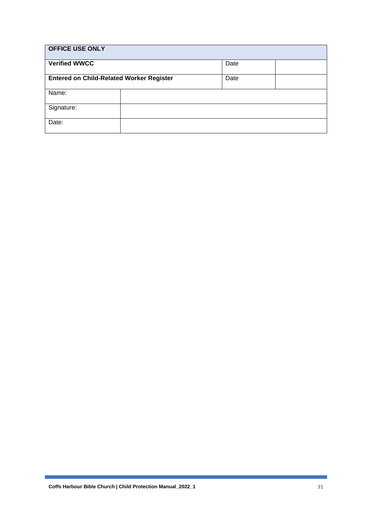| <b>OFFICE USE ONLY</b>                          |      |  |
|-------------------------------------------------|------|--|
| <b>Verified WWCC</b>                            | Date |  |
| <b>Entered on Child-Related Worker Register</b> | Date |  |
| Name:                                           |      |  |
| Signature:                                      |      |  |
| Date:                                           |      |  |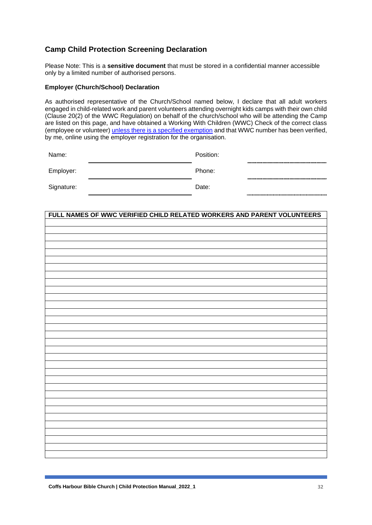### **Camp Child Protection Screening Declaration**

Please Note: This is a **sensitive document** that must be stored in a confidential manner accessible only by a limited number of authorised persons.

#### **Employer (Church/School) Declaration**

As authorised representative of the Church/School named below, I declare that all adult workers engaged in child-related work and parent volunteers attending overnight kids camps with their own child (Clause 20(2) of the WWC Regulation) on behalf of the church/school who will be attending the Camp are listed on this page, and have obtained a Working With Children (WWC) Check of the correct class (employee or volunteer) [unless there is a specified exemption](https://www.ocg.nsw.gov.au/child-safe-organisations/working-with-children-check/employer/who-needs-a-working-with-children-check) and that WWC number has been verified, by me, online using the employer registration for the organisation.

| Name:      | Position: |  |
|------------|-----------|--|
| Employer:  | Phone:    |  |
| Signature: | Date:     |  |

| FULL NAMES OF WWC VERIFIED CHILD RELATED WORKERS AND PARENT VOLUNTEERS |
|------------------------------------------------------------------------|
|                                                                        |
|                                                                        |
|                                                                        |
|                                                                        |
|                                                                        |
|                                                                        |
|                                                                        |
|                                                                        |
|                                                                        |
|                                                                        |
|                                                                        |
|                                                                        |
|                                                                        |
|                                                                        |
|                                                                        |
|                                                                        |
|                                                                        |
|                                                                        |
|                                                                        |
|                                                                        |
|                                                                        |
|                                                                        |
|                                                                        |
|                                                                        |
|                                                                        |
|                                                                        |
|                                                                        |
|                                                                        |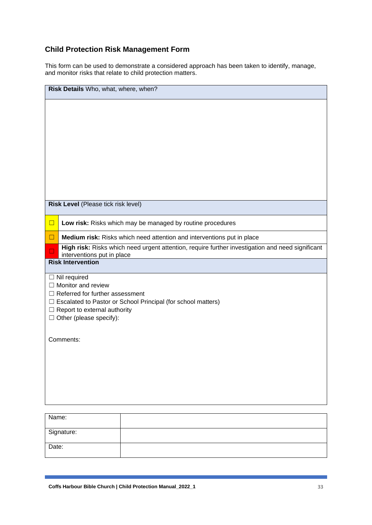### **Child Protection Risk Management Form**

This form can be used to demonstrate a considered approach has been taken to identify, manage, and monitor risks that relate to child protection matters.

| Risk Details Who, what, where, when?             |                                                                                                  |  |  |
|--------------------------------------------------|--------------------------------------------------------------------------------------------------|--|--|
|                                                  |                                                                                                  |  |  |
|                                                  |                                                                                                  |  |  |
|                                                  |                                                                                                  |  |  |
|                                                  |                                                                                                  |  |  |
|                                                  |                                                                                                  |  |  |
|                                                  |                                                                                                  |  |  |
|                                                  |                                                                                                  |  |  |
| Risk Level (Please tick risk level)              |                                                                                                  |  |  |
| $\Box$                                           | Low risk: Risks which may be managed by routine procedures                                       |  |  |
| $\Box$                                           | Medium risk: Risks which need attention and interventions put in place                           |  |  |
| $\Box$<br>interventions put in place             | High risk: Risks which need urgent attention, require further investigation and need significant |  |  |
| <b>Risk Intervention</b>                         |                                                                                                  |  |  |
| $\Box$ Nil required<br>$\Box$ Monitor and review |                                                                                                  |  |  |
| $\Box$ Referred for further assessment           |                                                                                                  |  |  |
| Report to external authority                     | Escalated to Pastor or School Principal (for school matters)                                     |  |  |
| $\Box$ Other (please specify):                   |                                                                                                  |  |  |
|                                                  |                                                                                                  |  |  |
| Comments:                                        |                                                                                                  |  |  |
|                                                  |                                                                                                  |  |  |
|                                                  |                                                                                                  |  |  |
|                                                  |                                                                                                  |  |  |
|                                                  |                                                                                                  |  |  |
|                                                  |                                                                                                  |  |  |
| Name:                                            |                                                                                                  |  |  |
| Signature:                                       |                                                                                                  |  |  |
| Date:                                            |                                                                                                  |  |  |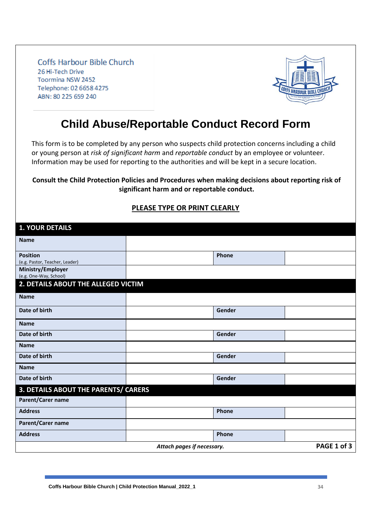

# **Child Abuse/Reportable Conduct Record Form**

This form is to be completed by any person who suspects child protection concerns including a child or young person at *risk of significant harm* and *reportable conduct* by an employee or volunteer. Information may be used for reporting to the authorities and will be kept in a secure location.

#### **Consult the Child Protection Policies and Procedures when making decisions about reporting risk of significant harm and or reportable conduct.**

| <b>1. YOUR DETAILS</b>                            |        |  |  |
|---------------------------------------------------|--------|--|--|
| <b>Name</b>                                       |        |  |  |
| <b>Position</b><br>(e.g. Pastor, Teacher, Leader) | Phone  |  |  |
| Ministry/Employer<br>(e.g. One-Way, School)       |        |  |  |
| 2. DETAILS ABOUT THE ALLEGED VICTIM               |        |  |  |
| <b>Name</b>                                       |        |  |  |
| Date of birth                                     | Gender |  |  |
| <b>Name</b>                                       |        |  |  |
| Date of birth                                     | Gender |  |  |
| <b>Name</b>                                       |        |  |  |
| Date of birth                                     | Gender |  |  |
| <b>Name</b>                                       |        |  |  |
| Date of birth                                     | Gender |  |  |
| 3. DETAILS ABOUT THE PARENTS/ CARERS              |        |  |  |
| Parent/Carer name                                 |        |  |  |
| <b>Address</b>                                    | Phone  |  |  |
| Parent/Carer name                                 |        |  |  |
| <b>Address</b>                                    | Phone  |  |  |
| PAGE 1 of 3<br>Attach pages if necessary.         |        |  |  |

### **PLEASE TYPE OR PRINT CLEARLY**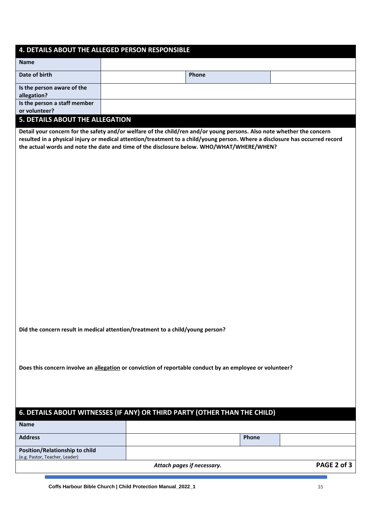#### **4. DETAILS ABOUT THE ALLEGED PERSON RESPONSIBLE**

| <b>Name</b>                            |       |  |
|----------------------------------------|-------|--|
| Date of birth                          | Phone |  |
| Is the person aware of the             |       |  |
| allegation?                            |       |  |
| Is the person a staff member           |       |  |
| or volunteer?                          |       |  |
| <b>F. BETAILC ABOUT TUE AU FOATION</b> |       |  |

#### **5. DETAILS ABOUT THE ALLEGATION**

**Name**

**Detail your concern for the safety and/or welfare of the child/ren and/or young persons. Also note whether the concern resulted in a physical injury or medical attention/treatment to a child/young person. Where a disclosure has occurred record the actual words and note the date and time of the disclosure below. WHO/WHAT/WHERE/WHEN?**

**Did the concern result in medical attention/treatment to a child/young person?**

**Does this concern involve an allegation or conviction of reportable conduct by an employee or volunteer?**

#### **6. DETAILS ABOUT WITNESSES (IF ANY) OR THIRD PARTY (OTHER THAN THE CHILD)**

| -name                          |                            |              |             |
|--------------------------------|----------------------------|--------------|-------------|
| <b>Address</b>                 |                            | <b>Phone</b> |             |
| Position/Relationship to child |                            |              |             |
| (e.g. Pastor, Teacher, Leader) |                            |              |             |
|                                | Attach pages if necessary. |              | PAGE 2 of 3 |

**Coffs Harbour Bible Church | Child Protection Manual\_2022\_1 35**